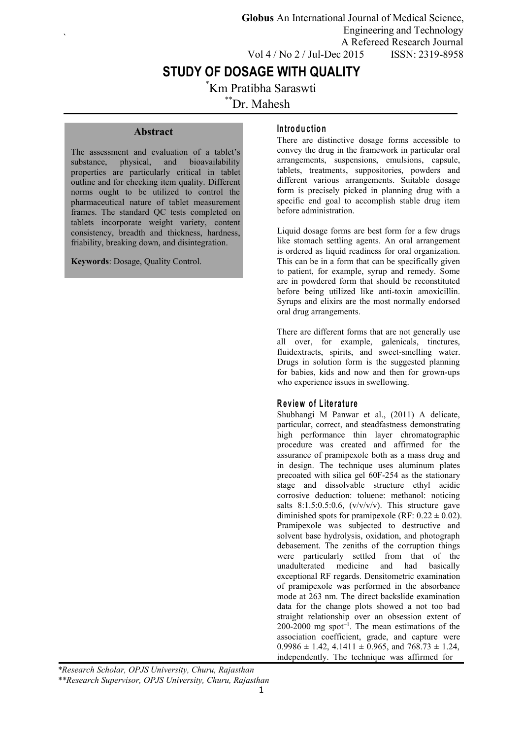**Globus** An International Journal of Medical Science, Engineering and Technology A Refereed Research Journal Vol 4 / No 2 / Jul-Dec 2015 ISSN: 2319-8958

# **STUDY OF DOSAGE WITH QUALITY**

\*Km Pratibha Saraswti

\*\*Dr. Mahesh

## **Abstract**

 $\sum_{i=1}^{n} a_i$ 

The assessment and evaluation of a tablet's substance, physical, and bioavailability properties are particularly critical in tablet outline and for checking item quality. Different norms ought to be utilized to control the pharmaceutical nature of tablet measurement frames. The standard QC tests completed on tablets incorporate weight variety, content consistency, breadth and thickness, hardness, friability, breaking down, and disintegration.

**Keywords**: Dosage, Quality Control.

### **In tro d u c tion**

There are distinctive dosage forms accessible to convey the drug in the framework in particular oral arrangements, suspensions, emulsions, capsule, tablets, treatments, suppositories, powders and different various arrangements. Suitable dosage form is precisely picked in planning drug with a specific end goal to accomplish stable drug item before administration.

Liquid dosage forms are best form for a few drugs like stomach settling agents. An oral arrangement is ordered as liquid readiness for oral organization. This can be in a form that can be specifically given to patient, for example, syrup and remedy. Some are in powdered form that should be reconstituted before being utilized like anti-toxin amoxicillin. Syrups and elixirs are the most normally endorsed oral drug arrangements.

There are different forms that are not generally use all over, for example, galenicals, tinctures, fluidextracts, spirits, and sweet-smelling water. Drugs in solution form is the suggested planning for babies, kids and now and then for grown-ups who experience issues in swellowing.

#### **R e v iew o f L ite ra tu re**

Shubhangi M Panwar et al., (2011) A delicate, particular, correct, and steadfastness demonstrating high performance thin layer chromatographic procedure was created and affirmed for the assurance of pramipexole both as a mass drug and in design. The technique uses aluminum plates precoated with silica gel 60F-254 as the stationary stage and dissolvable structure ethyl acidic corrosive deduction: toluene: methanol: noticing salts  $8:1.5:0.5:0.6$ ,  $(v/v/v/v)$ . This structure gave diminished spots for pramipexole (RF:  $0.22 \pm 0.02$ ). Pramipexole was subjected to destructive and solvent base hydrolysis, oxidation, and photograph debasement. The zeniths of the corruption things were particularly settled from that of the unadulterated medicine and had basically exceptional RF regards. Densitometric examination of pramipexole was performed in the absorbance mode at 263 nm. The direct backslide examination data for the change plots showed a not too bad straight relationship over an obsession extent of 200-2000 mg spot<sup>-1</sup>. The mean estimations of the association coefficient, grade, and capture were  $0.9986 \pm 1.42$ ,  $4.1411 \pm 0.965$ , and  $768.73 \pm 1.24$ , independently. The technique was affirmed for

*\*Research Scholar, OPJS University, Churu, Rajasthan \*\*Research Supervisor, OPJS University, Churu, Rajasthan*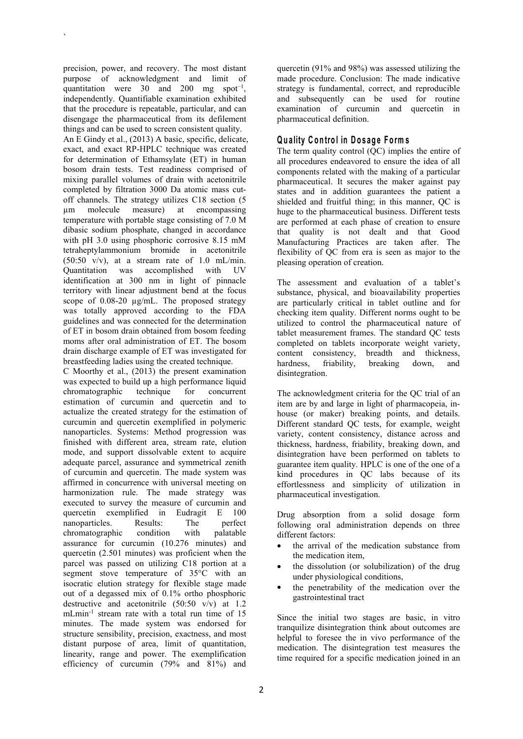precision, power, and recovery. The most distant purpose of acknowledgment and limit of quantitation were  $30$  and  $200$  mg spot<sup>-1</sup>, independently. Quantifiable examination exhibited that the procedure is repeatable, particular, and can disengage the pharmaceutical from its defilement things and can be used to screen consistent quality.

 $\sum_{i=1}^{n} a_i$ 

An E Gindy et al., (2013) A basic, specific, delicate, exact, and exact RP-HPLC technique was created for determination of Ethamsylate (ET) in human bosom drain tests. Test readiness comprised of mixing parallel volumes of drain with acetonitrile completed by filtration 3000 Da atomic mass cut off channels. The strategy utilizes C18 section (5<br>um molecule measure) at encompassing µm molecule measure) at encompassing temperature with portable stage consisting of 7.0 M dibasic sodium phosphate, changed in accordance with pH  $3.0$  using phosphoric corrosive  $8.15$  mM tetraheptylammonium bromide in acetonitrile  $(50:50 \text{ v/v})$ , at a stream rate of 1.0 mL/min. Quantitation was accomplished with UV identification at 300 nm in light of pinnacle territory with linear adjustment bend at the focus scope of 0.08-20 µg/mL. The proposed strategy was totally approved according to the FDA guidelines and was connected for the determination of ET in bosom drain obtained from bosom feeding moms after oral administration of ET. The bosom drain discharge example of ET was investigated for breastfeeding ladies using the created technique.

C Moorthy et al., (2013) the present examination was expected to build up a high performance liquid chromatographic technique for concurrent estimation of curcumin and quercetin and to actualize the created strategy for the estimation of curcumin and quercetin exemplified in polymeric nanoparticles. Systems: Method progression was finished with different area, stream rate, elution mode, and support dissolvable extent to acquire adequate parcel, assurance and symmetrical zenith of curcumin and quercetin. The made system was affirmed in concurrence with universal meeting on harmonization rule. The made strategy was executed to survey the measure of curcumin and quercetin exemplified in Eudragit E 100 nanoparticles. Results: The perfect<br>chromatographic condition with palatable chromatographic assurance for curcumin (10.276 minutes) and quercetin (2.501 minutes) was proficient when the parcel was passed on utilizing C18 portion at a segment stove temperature of 35°C with an isocratic elution strategy for flexible stage made out of a degassed mix of 0.1% ortho phosphoric destructive and acetonitrile (50:50 v/v) at 1.2 mLmin<sup>-1</sup> stream rate with a total run time of 15  $\frac{15}{100}$  since the init minutes. The made system was endorsed for structure sensibility, precision, exactness, and most distant purpose of area, limit of quantitation, linearity, range and power. The exemplification efficiency of curcumin (79% and 81%) and

, strategy is fundamental, correct, and reproducible quercetin (91% and 98%) was assessed utilizing the made procedure. Conclusion: The made indicative and subsequently can be used for routine examination of curcumin and quercetin in pharmaceutical definition.

## **Qu a lity C o n tro l in D o s ag e F o rm s**

The term quality control (QC) implies the entire of all procedures endeavored to ensure the idea of all components related with the making of a particular pharmaceutical. It secures the maker against pay states and in addition guarantees the patient a shielded and fruitful thing; in this manner, QC is huge to the pharmaceutical business. Different tests are performed at each phase of creation to ensure that quality is not dealt and that Good Manufacturing Practices are taken after. The flexibility of QC from era is seen as major to the pleasing operation of creation.

The assessment and evaluation of a tablet's substance, physical, and bioavailability properties are particularly critical in tablet outline and for checking item quality. Different norms ought to be utilized to control the pharmaceutical nature of tablet measurement frames. The standard QC tests completed on tablets incorporate weight variety, content consistency, breadth and thickness,<br>hardness, friability, breaking down, and hardness, friability, breaking down, and disintegration.

The acknowledgment criteria for the QC trial of an item are by and large in light of pharmacopeia, in house (or maker) breaking points, and details. Different standard QC tests, for example, weight variety, content consistency, distance across and thickness, hardness, friability, breaking down, and disintegration have been performed on tablets to guarantee item quality. HPLC is one of the one of a kind procedures in QC labs because of its effortlessness and simplicity of utilization in pharmaceutical investigation.

Drug absorption from a solid dosage form following oral administration depends on three different factors:

- the arrival of the medication substance from the medication item,
- the dissolution (or solubilization) of the drug under physiological conditions,
- the penetrability of the medication over the gastrointestinal tract

Since the initial two stages are basic, in vitro tranquilize disintegration think about outcomes are helpful to foresee the in vivo performance of the medication. The disintegration test measures the time required for a specific medication joined in an